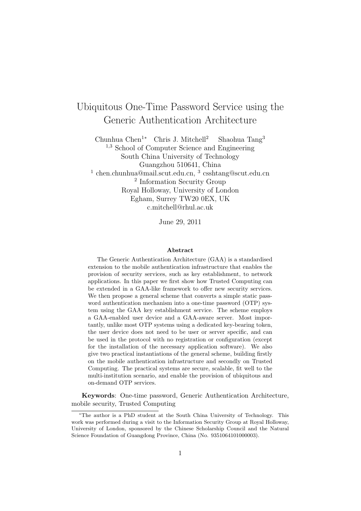# Ubiquitous One-Time Password Service using the Generic Authentication Architecture

Chunhua Chen<sup>1</sup><sup>∗</sup> Chris J. Mitchell<sup>2</sup> Shaohua Tang<sup>3</sup> <sup>1</sup>,<sup>3</sup> School of Computer Science and Engineering South China University of Technology Guangzhou 510641, China <sup>1</sup> chen.chunhua@mail.scut.edu.cn, <sup>3</sup> csshtang@scut.edu.cn 2 Information Security Group Royal Holloway, University of London Egham, Surrey TW20 0EX, UK c.mitchell@rhul.ac.uk

June 29, 2011

#### Abstract

The Generic Authentication Architecture (GAA) is a standardised extension to the mobile authentication infrastructure that enables the provision of security services, such as key establishment, to network applications. In this paper we first show how Trusted Computing can be extended in a GAA-like framework to offer new security services. We then propose a general scheme that converts a simple static password authentication mechanism into a one-time password (OTP) system using the GAA key establishment service. The scheme employs a GAA-enabled user device and a GAA-aware server. Most importantly, unlike most OTP systems using a dedicated key-bearing token, the user device does not need to be user or server specific, and can be used in the protocol with no registration or configuration (except for the installation of the necessary application software). We also give two practical instantiations of the general scheme, building firstly on the mobile authentication infrastructure and secondly on Trusted Computing. The practical systems are secure, scalable, fit well to the multi-institution scenario, and enable the provision of ubiquitous and on-demand OTP services.

Keywords: One-time password, Generic Authentication Architecture, mobile security, Trusted Computing

<sup>∗</sup>The author is a PhD student at the South China University of Technology. This work was performed during a visit to the Information Security Group at Royal Holloway, University of London, sponsored by the Chinese Scholarship Council and the Natural Science Foundation of Guangdong Province, China (No. 9351064101000003).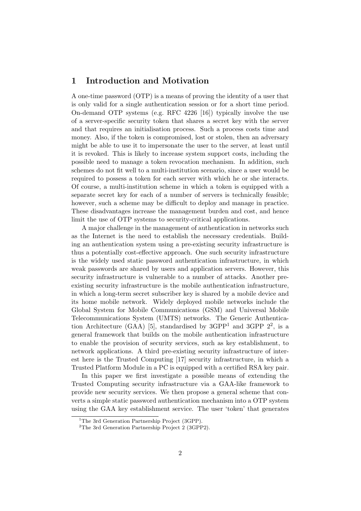## 1 Introduction and Motivation

A one-time password (OTP) is a means of proving the identity of a user that is only valid for a single authentication session or for a short time period. On-demand OTP systems (e.g. RFC 4226 [16]) typically involve the use of a server-specific security token that shares a secret key with the server and that requires an initialisation process. Such a process costs time and money. Also, if the token is compromised, lost or stolen, then an adversary might be able to use it to impersonate the user to the server, at least until it is revoked. This is likely to increase system support costs, including the possible need to manage a token revocation mechanism. In addition, such schemes do not fit well to a multi-institution scenario, since a user would be required to possess a token for each server with which he or she interacts. Of course, a multi-institution scheme in which a token is equipped with a separate secret key for each of a number of servers is technically feasible; however, such a scheme may be difficult to deploy and manage in practice. These disadvantages increase the management burden and cost, and hence limit the use of OTP systems to security-critical applications.

A major challenge in the management of authentication in networks such as the Internet is the need to establish the necessary credentials. Building an authentication system using a pre-existing security infrastructure is thus a potentially cost-effective approach. One such security infrastructure is the widely used static password authentication infrastructure, in which weak passwords are shared by users and application servers. However, this security infrastructure is vulnerable to a number of attacks. Another preexisting security infrastructure is the mobile authentication infrastructure, in which a long-term secret subscriber key is shared by a mobile device and its home mobile network. Widely deployed mobile networks include the Global System for Mobile Communications (GSM) and Universal Mobile Telecommunications System (UMTS) networks. The Generic Authentication Architecture (GAA) [5], standardised by  $3GPP<sup>1</sup>$  and  $3GPP<sup>2</sup>$ , is a general framework that builds on the mobile authentication infrastructure to enable the provision of security services, such as key establishment, to network applications. A third pre-existing security infrastructure of interest here is the Trusted Computing [17] security infrastructure, in which a Trusted Platform Module in a PC is equipped with a certified RSA key pair.

In this paper we first investigate a possible means of extending the Trusted Computing security infrastructure via a GAA-like framework to provide new security services. We then propose a general scheme that converts a simple static password authentication mechanism into a OTP system using the GAA key establishment service. The user 'token' that generates

<sup>&</sup>lt;sup>1</sup>The 3rd Generation Partnership Project (3GPP).

<sup>2</sup>The 3rd Generation Partnership Project 2 (3GPP2).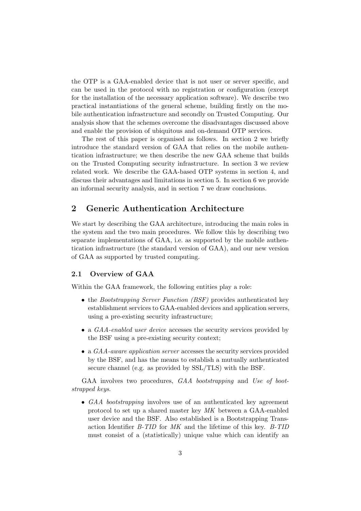the OTP is a GAA-enabled device that is not user or server specific, and can be used in the protocol with no registration or configuration (except for the installation of the necessary application software). We describe two practical instantiations of the general scheme, building firstly on the mobile authentication infrastructure and secondly on Trusted Computing. Our analysis show that the schemes overcome the disadvantages discussed above and enable the provision of ubiquitous and on-demand OTP services.

The rest of this paper is organised as follows. In section 2 we briefly introduce the standard version of GAA that relies on the mobile authentication infrastructure; we then describe the new GAA scheme that builds on the Trusted Computing security infrastructure. In section 3 we review related work. We describe the GAA-based OTP systems in section 4, and discuss their advantages and limitations in section 5. In section 6 we provide an informal security analysis, and in section 7 we draw conclusions.

## 2 Generic Authentication Architecture

We start by describing the GAA architecture, introducing the main roles in the system and the two main procedures. We follow this by describing two separate implementations of GAA, i.e. as supported by the mobile authentication infrastructure (the standard version of GAA), and our new version of GAA as supported by trusted computing.

## 2.1 Overview of GAA

Within the GAA framework, the following entities play a role:

- the Bootstrapping Server Function (BSF) provides authenticated key establishment services to GAA-enabled devices and application servers, using a pre-existing security infrastructure;
- a GAA-enabled user device accesses the security services provided by the BSF using a pre-existing security context;
- a GAA-aware application server accesses the security services provided by the BSF, and has the means to establish a mutually authenticated secure channel (e.g. as provided by SSL/TLS) with the BSF.

GAA involves two procedures, GAA bootstrapping and Use of bootstrapped keys.

• GAA bootstrapping involves use of an authenticated key agreement protocol to set up a shared master key MK between a GAA-enabled user device and the BSF. Also established is a Bootstrapping Transaction Identifier B-TID for MK and the lifetime of this key. B-TID must consist of a (statistically) unique value which can identify an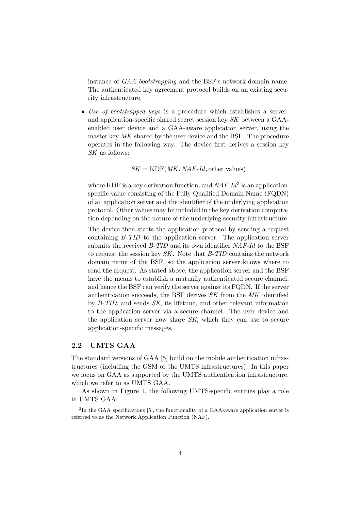instance of GAA bootstrapping and the BSF's network domain name. The authenticated key agreement protocol builds on an existing security infrastructure.

• Use of bootstrapped keys is a procedure which establishes a serverand application-specific shared secret session key SK between a GAAenabled user device and a GAA-aware application server, using the master key MK shared by the user device and the BSF. The procedure operates in the following way. The device first derives a session key SK as follows:

 $SK = KDF(MK, NAF-Id,$  other values)

where KDF is a key derivation function, and  $NAF-Id^3$  is an applicationspecific value consisting of the Fully Qualified Domain Name (FQDN) of an application server and the identifier of the underlying application protocol. Other values may be included in the key derivation computation depending on the nature of the underlying security infrastructure.

The device then starts the application protocol by sending a request containing B-TID to the application server. The application server submits the received  $B$ -TID and its own identifier  $NAF$ -Id to the BSF to request the session key SK. Note that B-TID contains the network domain name of the BSF, so the application server knows where to send the request. As stated above, the application server and the BSF have the means to establish a mutually authenticated secure channel, and hence the BSF can verify the server against its FQDN. If the server authentication succeeds, the BSF derives SK from the MK identified by B-TID, and sends SK, its lifetime, and other relevant information to the application server via a secure channel. The user device and the application server now share  $SK$ , which they can use to secure application-specific messages.

## 2.2 UMTS GAA

The standard versions of GAA [5] build on the mobile authentication infrastructures (including the GSM or the UMTS infrastructures). In this paper we focus on GAA as supported by the UMTS authentication infrastructure, which we refer to as UMTS GAA.

As shown in Figure 1, the following UMTS-specific entities play a role in UMTS GAA:

<sup>&</sup>lt;sup>3</sup>In the GAA specifications [5], the functionality of a GAA-aware application server is referred to as the Network Application Function (NAF).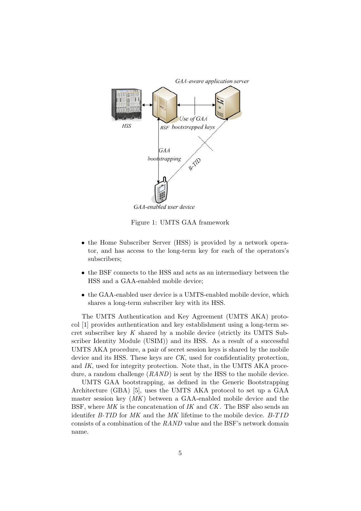

Figure 1: UMTS GAA framework

- the Home Subscriber Server (HSS) is provided by a network operator, and has access to the long-term key for each of the operators's subscribers;
- the BSF connects to the HSS and acts as an intermediary between the HSS and a GAA-enabled mobile device;
- the GAA-enabled user device is a UMTS-enabled mobile device, which shares a long-term subscriber key with its HSS.

The UMTS Authentication and Key Agreement (UMTS AKA) protocol [1] provides authentication and key establishment using a long-term secret subscriber key K shared by a mobile device (strictly its UMTS Subscriber Identity Module (USIM)) and its HSS. As a result of a successful UMTS AKA procedure, a pair of secret session keys is shared by the mobile device and its HSS. These keys are CK, used for confidentiality protection, and IK, used for integrity protection. Note that, in the UMTS AKA procedure, a random challenge  $(RAND)$  is sent by the HSS to the mobile device.

UMTS GAA bootstrapping, as defined in the Generic Bootstrapping Architecture (GBA) [5], uses the UMTS AKA protocol to set up a GAA master session key  $(MK)$  between a GAA-enabled mobile device and the BSF, where MK is the concatenation of IK and CK. The BSF also sends an identifer  $B-TID$  for MK and the MK lifetime to the mobile device.  $B-TID$ consists of a combination of the RAND value and the BSF's network domain name.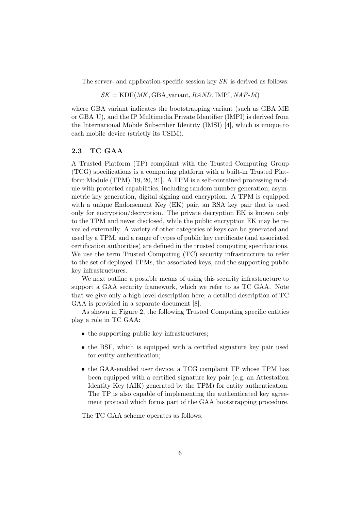The server- and application-specific session key  $SK$  is derived as follows:

 $SK = KDF(MK, GBA$ -variant,  $RAND$ , IMPI,  $NAF-Id$ )

where GBA<sub>-variant</sub> indicates the bootstrapping variant (such as GBA<sub>-</sub>ME or GBA U), and the IP Multimedia Private Identifier (IMPI) is derived from the International Mobile Subscriber Identity (IMSI) [4], which is unique to each mobile device (strictly its USIM).

### 2.3 TC GAA

A Trusted Platform (TP) compliant with the Trusted Computing Group (TCG) specifications is a computing platform with a built-in Trusted Platform Module (TPM) [19, 20, 21]. A TPM is a self-contained processing module with protected capabilities, including random number generation, asymmetric key generation, digital signing and encryption. A TPM is equipped with a unique Endorsement Key (EK) pair, an RSA key pair that is used only for encryption/decryption. The private decryption EK is known only to the TPM and never disclosed, while the public encryption EK may be revealed externally. A variety of other categories of keys can be generated and used by a TPM, and a range of types of public key certificate (and associated certification authorities) are defined in the trusted computing specifications. We use the term Trusted Computing (TC) security infrastructure to refer to the set of deployed TPMs, the associated keys, and the supporting public key infrastructures.

We next outline a possible means of using this security infrastructure to support a GAA security framework, which we refer to as TC GAA. Note that we give only a high level description here; a detailed description of TC GAA is provided in a separate document [8].

As shown in Figure 2, the following Trusted Computing specific entities play a role in TC GAA:

- the supporting public key infrastructures;
- the BSF, which is equipped with a certified signature key pair used for entity authentication;
- the GAA-enabled user device, a TCG complaint TP whose TPM has been equipped with a certified signature key pair (e.g. an Attestation Identity Key (AIK) generated by the TPM) for entity authentication. The TP is also capable of implementing the authenticated key agreement protocol which forms part of the GAA bootstrapping procedure.

The TC GAA scheme operates as follows.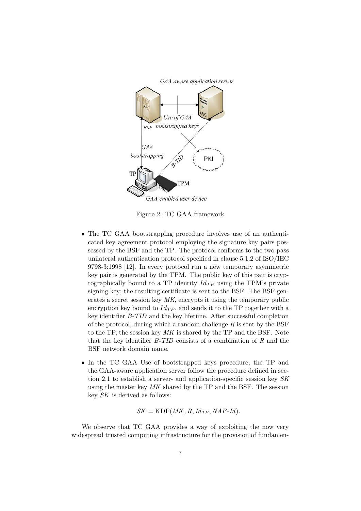

Figure 2: TC GAA framework

- The TC GAA bootstrapping procedure involves use of an authenticated key agreement protocol employing the signature key pairs possessed by the BSF and the TP. The protocol conforms to the two-pass unilateral authentication protocol specified in clause 5.1.2 of ISO/IEC 9798-3:1998 [12]. In every protocol run a new temporary asymmetric key pair is generated by the TPM. The public key of this pair is cryptographically bound to a TP identity  $Id_{TP}$  using the TPM's private signing key; the resulting certificate is sent to the BSF. The BSF generates a secret session key MK, encrypts it using the temporary public encryption key bound to  $Id_{TP}$ , and sends it to the TP together with a key identifier B-TID and the key lifetime. After successful completion of the protocol, during which a random challenge  $R$  is sent by the BSF to the TP, the session key MK is shared by the TP and the BSF. Note that the key identifier  $B-TID$  consists of a combination of R and the BSF network domain name.
- In the TC GAA Use of bootstrapped keys procedure, the TP and the GAA-aware application server follow the procedure defined in section 2.1 to establish a server- and application-specific session key SK using the master key MK shared by the TP and the BSF. The session key SK is derived as follows:

 $SK = KDF(MK, R, Id_{TP}, NAF-Id).$ 

We observe that TC GAA provides a way of exploiting the now very widespread trusted computing infrastructure for the provision of fundamen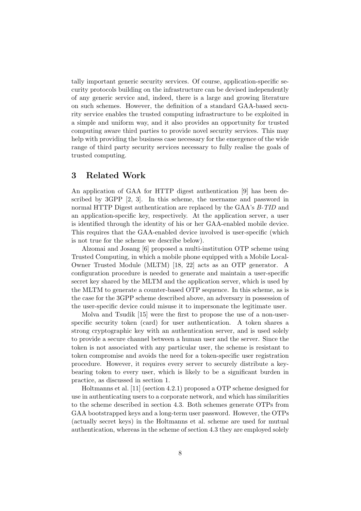tally important generic security services. Of course, application-specific security protocols building on the infrastructure can be devised independently of any generic service and, indeed, there is a large and growing literature on such schemes. However, the definition of a standard GAA-based security service enables the trusted computing infrastructure to be exploited in a simple and uniform way, and it also provides an opportunity for trusted computing aware third parties to provide novel security services. This may help with providing the business case necessary for the emergence of the wide range of third party security services necessary to fully realise the goals of trusted computing.

# 3 Related Work

An application of GAA for HTTP digest authentication [9] has been described by 3GPP [2, 3]. In this scheme, the username and password in normal HTTP Digest authentication are replaced by the GAA's  $B$ -TID and an application-specific key, respectively. At the application server, a user is identified through the identity of his or her GAA-enabled mobile device. This requires that the GAA-enabled device involved is user-specific (which is not true for the scheme we describe below).

Alzomai and Josang [6] proposed a multi-institution OTP scheme using Trusted Computing, in which a mobile phone equipped with a Mobile Local-Owner Trusted Module (MLTM) [18, 22] acts as an OTP generator. A configuration procedure is needed to generate and maintain a user-specific secret key shared by the MLTM and the application server, which is used by the MLTM to generate a counter-based OTP sequence. In this scheme, as is the case for the 3GPP scheme described above, an adversary in possession of the user-specific device could misuse it to impersonate the legitimate user.

Molva and Tsudik [15] were the first to propose the use of a non-userspecific security token (card) for user authentication. A token shares a strong cryptographic key with an authentication server, and is used solely to provide a secure channel between a human user and the server. Since the token is not associated with any particular user, the scheme is resistant to token compromise and avoids the need for a token-specific user registration procedure. However, it requires every server to securely distribute a keybearing token to every user, which is likely to be a significant burden in practice, as discussed in section 1.

Holtmanns et al. [11] (section 4.2.1) proposed a OTP scheme designed for use in authenticating users to a corporate network, and which has similarities to the scheme described in section 4.3. Both schemes generate OTPs from GAA bootstrapped keys and a long-term user password. However, the OTPs (actually secret keys) in the Holtmanns et al. scheme are used for mutual authentication, whereas in the scheme of section 4.3 they are employed solely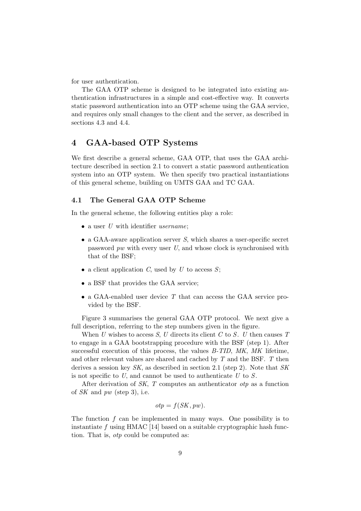for user authentication.

The GAA OTP scheme is designed to be integrated into existing authentication infrastructures in a simple and cost-effective way. It converts static password authentication into an OTP scheme using the GAA service, and requires only small changes to the client and the server, as described in sections 4.3 and 4.4.

# 4 GAA-based OTP Systems

We first describe a general scheme, GAA OTP, that uses the GAA architecture described in section 2.1 to convert a static password authentication system into an OTP system. We then specify two practical instantiations of this general scheme, building on UMTS GAA and TC GAA.

## 4.1 The General GAA OTP Scheme

In the general scheme, the following entities play a role:

- a user U with identifier *username*;
- a GAA-aware application server  $S$ , which shares a user-specific secret password  $pw$  with every user  $U$ , and whose clock is synchronised with that of the BSF;
- a client application  $C$ , used by  $U$  to access  $S$ :
- a BSF that provides the GAA service;
- a GAA-enabled user device T that can access the GAA service provided by the BSF.

Figure 3 summarises the general GAA OTP protocol. We next give a full description, referring to the step numbers given in the figure.

When U wishes to access  $S, U$  directs its client  $C$  to  $S$ . U then causes  $T$ to engage in a GAA bootstrapping procedure with the BSF (step 1). After successful execution of this process, the values  $B\text{-}TID$ , MK, MK lifetime, and other relevant values are shared and cached by T and the BSF. T then derives a session key  $SK$ , as described in section 2.1 (step 2). Note that  $SK$ is not specific to  $U$ , and cannot be used to authenticate  $U$  to  $S$ .

After derivation of  $SK$ , T computes an authenticator *otp* as a function of  $SK$  and  $pw$  (step 3), i.e.

$$
otp = f(SK, pw).
$$

The function  $f$  can be implemented in many ways. One possibility is to instantiate f using  $HMAC$  [14] based on a suitable cryptographic hash function. That is, otp could be computed as: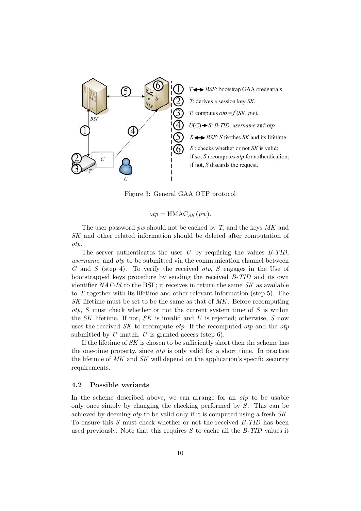

Figure 3: General GAA OTP protocol

$$
otp = \mathrm{HMAC}_{SK}(pw).
$$

The user password pw should not be cached by  $T$ , and the keys  $MK$  and SK and other related information should be deleted after computation of otp.

The server authenticates the user  $U$  by requiring the values  $B-TID$ , username, and otp to be submitted via the communication channel between C and S (step 4). To verify the received *otp*, S engages in the Use of bootstrapped keys procedure by sending the received B-TID and its own identifier  $NAF-Id$  to the BSF; it receives in return the same SK as available to T together with its lifetime and other relevant information (step 5). The SK lifetime must be set to be the same as that of MK. Before recomputing *otp*, S must check whether or not the current system time of S is within the SK lifetime. If not, SK is invalid and U is rejected; otherwise, S now uses the received  $SK$  to recompute *otp*. If the recomputed *otp* and the *otp* submitted by  $U$  match,  $U$  is granted access (step 6).

If the lifetime of  $SK$  is chosen to be sufficiently short then the scheme has the one-time property, since otp is only valid for a short time. In practice the lifetime of  $MK$  and  $SK$  will depend on the application's specific security requirements.

#### 4.2 Possible variants

In the scheme described above, we can arrange for an  $otp$  to be usable only once simply by changing the checking performed by S. This can be achieved by deeming otp to be valid only if it is computed using a fresh SK. To ensure this S must check whether or not the received B-TID has been used previously. Note that this requires  $S$  to cache all the  $B-TID$  values it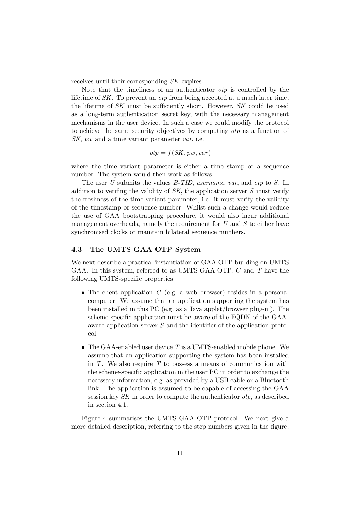receives until their corresponding SK expires.

Note that the timeliness of an authenticator  $otp$  is controlled by the lifetime of SK. To prevent an otp from being accepted at a much later time, the lifetime of SK must be sufficiently short. However, SK could be used as a long-term authentication secret key, with the necessary management mechanisms in the user device. In such a case we could modify the protocol to achieve the same security objectives by computing otp as a function of SK, pw and a time variant parameter var, i.e.

$$
otp = f(SK, pw, var)
$$

where the time variant parameter is either a time stamp or a sequence number. The system would then work as follows.

The user U submits the values B-TID, username, var, and otp to S. In addition to verifing the validity of  $SK$ , the application server S must verify the freshness of the time variant parameter, i.e. it must verify the validity of the timestamp or sequence number. Whilst such a change would reduce the use of GAA bootstrapping procedure, it would also incur additional management overheads, namely the requirement for  $U$  and  $S$  to either have synchronised clocks or maintain bilateral sequence numbers.

## 4.3 The UMTS GAA OTP System

We next describe a practical instantiation of GAA OTP building on UMTS GAA. In this system, referred to as UMTS GAA OTP, C and T have the following UMTS-specific properties.

- The client application  $C$  (e.g. a web browser) resides in a personal computer. We assume that an application supporting the system has been installed in this PC (e.g. as a Java applet/browser plug-in). The scheme-specific application must be aware of the FQDN of the GAAaware application server S and the identifier of the application protocol.
- The GAA-enabled user device  $T$  is a UMTS-enabled mobile phone. We assume that an application supporting the system has been installed in  $T$ . We also require  $T$  to possess a means of communication with the scheme-specific application in the user PC in order to exchange the necessary information, e.g. as provided by a USB cable or a Bluetooth link. The application is assumed to be capable of accessing the GAA session key SK in order to compute the authenticator otp, as described in section 4.1.

Figure 4 summarises the UMTS GAA OTP protocol. We next give a more detailed description, referring to the step numbers given in the figure.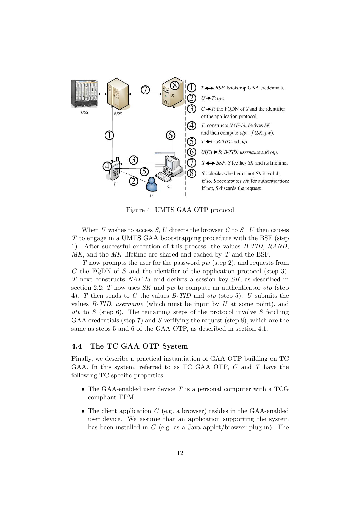

Figure 4: UMTS GAA OTP protocol

When U wishes to access  $S, U$  directs the browser C to  $S, U$  then causes T to engage in a UMTS GAA bootstrapping procedure with the BSF (step 1). After successful execution of this process, the values B-TID, RAND, MK, and the MK lifetime are shared and cached by T and the BSF.

T now prompts the user for the password  $pw$  (step 2), and requests from  $C$  the FQDN of  $S$  and the identifier of the application protocol (step 3). T next constructs NAF-Id and derives a session key SK, as described in section 2.2; T now uses SK and pw to compute an authenticator otp (step 4). T then sends to C the values B-TID and otp (step 5). U submits the values  $B\text{-}TID$ , *username* (which must be input by U at some point), and otp to S (step 6). The remaining steps of the protocol involve S fetching GAA credentials (step 7) and  $S$  verifying the request (step 8), which are the same as steps 5 and 6 of the GAA OTP, as described in section 4.1.

## 4.4 The TC GAA OTP System

Finally, we describe a practical instantiation of GAA OTP building on TC GAA. In this system, referred to as TC GAA OTP, C and T have the following TC-specific properties.

- The GAA-enabled user device  $T$  is a personal computer with a TCG compliant TPM.
- The client application  $C$  (e.g. a browser) resides in the GAA-enabled user device. We assume that an application supporting the system has been installed in  $C$  (e.g. as a Java applet/browser plug-in). The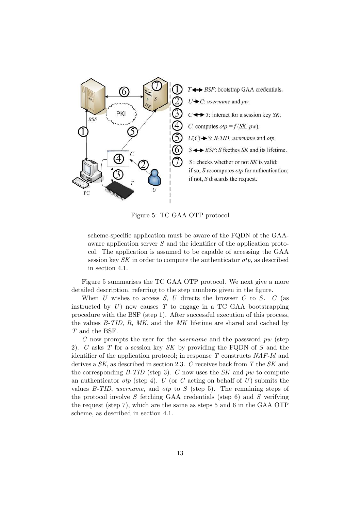

Figure 5: TC GAA OTP protocol

scheme-specific application must be aware of the FQDN of the GAAaware application server S and the identifier of the application protocol. The application is assumed to be capable of accessing the GAA session key SK in order to compute the authenticator otp, as described in section 4.1.

Figure 5 summarises the TC GAA OTP protocol. We next give a more detailed description, referring to the step numbers given in the figure.

When U wishes to access  $S, U$  directs the browser C to S. C (as instructed by  $U$ ) now causes T to engage in a TC GAA bootstrapping procedure with the BSF (step 1). After successful execution of this process, the values B-TID, R, MK, and the MK lifetime are shared and cached by T and the BSF.

 $C$  now prompts the user for the *username* and the password  $pw$  (step 2).  $C$  asks  $T$  for a session key  $SK$  by providing the FQDN of  $S$  and the identifier of the application protocol; in response T constructs NAF-Id and derives a SK, as described in section 2.3. C receives back from T the SK and the corresponding  $B-TID$  (step 3). C now uses the SK and pw to compute an authenticator otp (step 4). U (or C acting on behalf of U) submits the values  $B\text{-}TID$ , *username*, and *otp* to S (step 5). The remaining steps of the protocol involve S fetching GAA credentials (step 6) and S verifying the request (step 7), which are the same as steps 5 and 6 in the GAA OTP scheme, as described in section 4.1.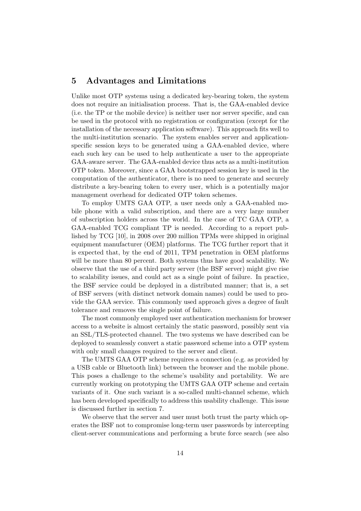## 5 Advantages and Limitations

Unlike most OTP systems using a dedicated key-bearing token, the system does not require an initialisation process. That is, the GAA-enabled device (i.e. the TP or the mobile device) is neither user nor server specific, and can be used in the protocol with no registration or configuration (except for the installation of the necessary application software). This approach fits well to the multi-institution scenario. The system enables server and applicationspecific session keys to be generated using a GAA-enabled device, where each such key can be used to help authenticate a user to the appropriate GAA-aware server. The GAA-enabled device thus acts as a multi-institution OTP token. Moreover, since a GAA bootstrapped session key is used in the computation of the authenticator, there is no need to generate and securely distribute a key-bearing token to every user, which is a potentially major management overhead for dedicated OTP token schemes.

To employ UMTS GAA OTP, a user needs only a GAA-enabled mobile phone with a valid subscription, and there are a very large number of subscription holders across the world. In the case of TC GAA OTP, a GAA-enabled TCG compliant TP is needed. According to a report published by TCG [10], in 2008 over 200 million TPMs were shipped in original equipment manufacturer (OEM) platforms. The TCG further report that it is expected that, by the end of 2011, TPM penetration in OEM platforms will be more than 80 percent. Both systems thus have good scalability. We observe that the use of a third party server (the BSF server) might give rise to scalability issues, and could act as a single point of failure. In practice, the BSF service could be deployed in a distributed manner; that is, a set of BSF servers (with distinct network domain names) could be used to provide the GAA service. This commonly used approach gives a degree of fault tolerance and removes the single point of failure.

The most commonly employed user authentication mechanism for browser access to a website is almost certainly the static password, possibly sent via an SSL/TLS-protected channel. The two systems we have described can be deployed to seamlessly convert a static password scheme into a OTP system with only small changes required to the server and client.

The UMTS GAA OTP scheme requires a connection (e.g. as provided by a USB cable or Bluetooth link) between the browser and the mobile phone. This poses a challenge to the scheme's usability and portability. We are currently working on prototyping the UMTS GAA OTP scheme and certain variants of it. One such variant is a so-called multi-channel scheme, which has been developed specifically to address this usability challenge. This issue is discussed further in section 7.

We observe that the server and user must both trust the party which operates the BSF not to compromise long-term user passwords by intercepting client-server communications and performing a brute force search (see also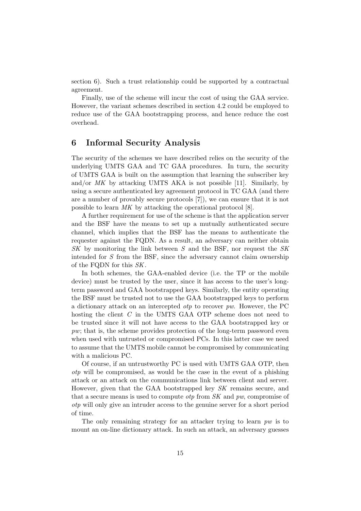section 6). Such a trust relationship could be supported by a contractual agreement.

Finally, use of the scheme will incur the cost of using the GAA service. However, the variant schemes described in section 4.2 could be employed to reduce use of the GAA bootstrapping process, and hence reduce the cost overhead.

# 6 Informal Security Analysis

The security of the schemes we have described relies on the security of the underlying UMTS GAA and TC GAA procedures. In turn, the security of UMTS GAA is built on the assumption that learning the subscriber key and/or  $MK$  by attacking UMTS AKA is not possible [11]. Similarly, by using a secure authenticated key agreement protocol in TC GAA (and there are a number of provably secure protocols [7]), we can ensure that it is not possible to learn MK by attacking the operational protocol [8].

A further requirement for use of the scheme is that the application server and the BSF have the means to set up a mutually authenticated secure channel, which implies that the BSF has the means to authenticate the requester against the FQDN. As a result, an adversary can neither obtain  $SK$  by monitoring the link between  $S$  and the BSF, nor request the  $SK$ intended for S from the BSF, since the adversary cannot claim ownership of the FQDN for this SK.

In both schemes, the GAA-enabled device (i.e. the TP or the mobile device) must be trusted by the user, since it has access to the user's longterm password and GAA bootstrapped keys. Similarly, the entity operating the BSF must be trusted not to use the GAA bootstrapped keys to perform a dictionary attack on an intercepted *otp* to recover pw. However, the PC hosting the client C in the UMTS GAA OTP scheme does not need to be trusted since it will not have access to the GAA bootstrapped key or  $pw$ ; that is, the scheme provides protection of the long-term password even when used with untrusted or compromised PCs. In this latter case we need to assume that the UMTS mobile cannot be compromised by communicating with a malicious PC.

Of course, if an untrustworthy PC is used with UMTS GAA OTP, then otp will be compromised, as would be the case in the event of a phishing attack or an attack on the communications link between client and server. However, given that the GAA bootstrapped key SK remains secure, and that a secure means is used to compute  $otp$  from  $SK$  and  $pw$ , compromise of otp will only give an intruder access to the genuine server for a short period of time.

The only remaining strategy for an attacker trying to learn pw is to mount an on-line dictionary attack. In such an attack, an adversary guesses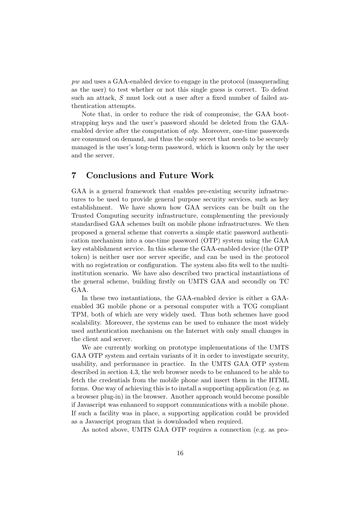pw and uses a GAA-enabled device to engage in the protocol (masquerading as the user) to test whether or not this single guess is correct. To defeat such an attack, S must lock out a user after a fixed number of failed authentication attempts.

Note that, in order to reduce the risk of compromise, the GAA bootstrapping keys and the user's password should be deleted from the GAAenabled device after the computation of otp. Moreover, one-time passwords are consumed on demand, and thus the only secret that needs to be securely managed is the user's long-term password, which is known only by the user and the server.

# 7 Conclusions and Future Work

GAA is a general framework that enables pre-existing security infrastructures to be used to provide general purpose security services, such as key establishment. We have shown how GAA services can be built on the Trusted Computing security infrastructure, complementing the previously standardised GAA schemes built on mobile phone infrastructures. We then proposed a general scheme that converts a simple static password authentication mechanism into a one-time password (OTP) system using the GAA key establishment service. In this scheme the GAA-enabled device (the OTP token) is neither user nor server specific, and can be used in the protocol with no registration or configuration. The system also fits well to the multiinstitution scenario. We have also described two practical instantiations of the general scheme, building firstly on UMTS GAA and secondly on TC GAA.

In these two instantiations, the GAA-enabled device is either a GAAenabled 3G mobile phone or a personal computer with a TCG compliant TPM, both of which are very widely used. Thus both schemes have good scalability. Moreover, the systems can be used to enhance the most widely used authentication mechanism on the Internet with only small changes in the client and server.

We are currently working on prototype implementations of the UMTS GAA OTP system and certain variants of it in order to investigate security, usability, and performance in practice. In the UMTS GAA OTP system described in section 4.3, the web browser needs to be enhanced to be able to fetch the credentials from the mobile phone and insert them in the HTML forms. One way of achieving this is to install a supporting application (e.g. as a browser plug-in) in the browser. Another approach would become possible if Javascript was enhanced to support communications with a mobile phone. If such a facility was in place, a supporting application could be provided as a Javascript program that is downloaded when required.

As noted above, UMTS GAA OTP requires a connection (e.g. as pro-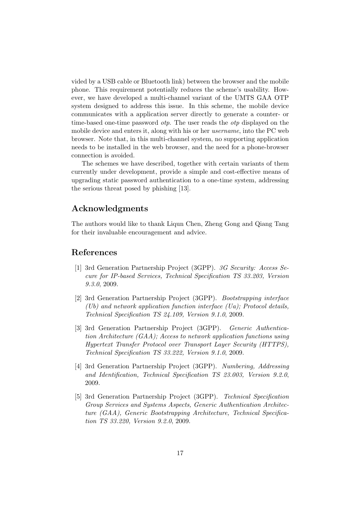vided by a USB cable or Bluetooth link) between the browser and the mobile phone. This requirement potentially reduces the scheme's usability. However, we have developed a multi-channel variant of the UMTS GAA OTP system designed to address this issue. In this scheme, the mobile device communicates with a application server directly to generate a counter- or time-based one-time password *otp*. The user reads the *otp* displayed on the mobile device and enters it, along with his or her username, into the PC web browser. Note that, in this multi-channel system, no supporting application needs to be installed in the web browser, and the need for a phone-browser connection is avoided.

The schemes we have described, together with certain variants of them currently under development, provide a simple and cost-effective means of upgrading static password authentication to a one-time system, addressing the serious threat posed by phishing [13].

# Acknowledgments

The authors would like to thank Liqun Chen, Zheng Gong and Qiang Tang for their invaluable encouragement and advice.

## References

- [1] 3rd Generation Partnership Project (3GPP). 3G Security: Access Secure for IP-based Services, Technical Specification TS 33.203, Version 9.3.0, 2009.
- [2] 3rd Generation Partnership Project (3GPP). Bootstrapping interface  $(Ub)$  and network application function interface  $(Ua)$ ; Protocol details, Technical Specification TS 24.109, Version 9.1.0, 2009.
- [3] 3rd Generation Partnership Project (3GPP). Generic Authentication Architecture (GAA); Access to network application functions using Hypertext Transfer Protocol over Transport Layer Security (HTTPS), Technical Specification TS 33.222, Version 9.1.0, 2009.
- [4] 3rd Generation Partnership Project (3GPP). Numbering, Addressing and Identification, Technical Specification TS 23.003, Version 9.2.0, 2009.
- [5] 3rd Generation Partnership Project (3GPP). Technical Specification Group Services and Systems Aspects, Generic Authentication Architecture (GAA), Generic Bootstrapping Architecture, Technical Specification TS 33.220, Version 9.2.0, 2009.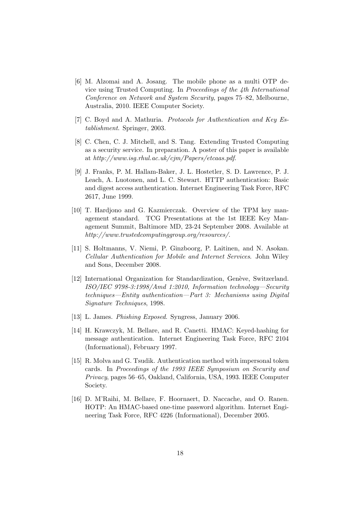- [6] M. Alzomai and A. Josang. The mobile phone as a multi OTP device using Trusted Computing. In Proceedings of the 4th International Conference on Network and System Security, pages 75–82, Melbourne, Australia, 2010. IEEE Computer Society.
- [7] C. Boyd and A. Mathuria. Protocols for Authentication and Key Establishment. Springer, 2003.
- [8] C. Chen, C. J. Mitchell, and S. Tang. Extending Trusted Computing as a security service. In preparation. A poster of this paper is available at http://www.isg.rhul.ac.uk/cjm/Papers/etcaas.pdf.
- [9] J. Franks, P. M. Hallam-Baker, J. L. Hostetler, S. D. Lawrence, P. J. Leach, A. Luotonen, and L. C. Stewart. HTTP authentication: Basic and digest access authentication. Internet Engineering Task Force, RFC 2617, June 1999.
- [10] T. Hardjono and G. Kazmierczak. Overview of the TPM key management standard. TCG Presentations at the 1st IEEE Key Management Summit, Baltimore MD, 23-24 September 2008. Available at http://www.trustedcomputinggroup.org/resources/.
- [11] S. Holtmanns, V. Niemi, P. Ginzboorg, P. Laitinen, and N. Asokan. Cellular Authentication for Mobile and Internet Services. John Wiley and Sons, December 2008.
- [12] International Organization for Standardization, Genève, Switzerland. ISO/IEC 9798-3:1998/Amd 1:2010, Information technology—Security techniques—Entity authentication—Part 3: Mechanisms using Digital Signature Techniques, 1998.
- [13] L. James. Phishing Exposed. Syngress, January 2006.
- [14] H. Krawczyk, M. Bellare, and R. Canetti. HMAC: Keyed-hashing for message authentication. Internet Engineering Task Force, RFC 2104 (Informational), February 1997.
- [15] R. Molva and G. Tsudik. Authentication method with impersonal token cards. In Proceedings of the 1993 IEEE Symposium on Security and Privacy, pages 56–65, Oakland, California, USA, 1993. IEEE Computer Society.
- [16] D. M'Raihi, M. Bellare, F. Hoornaert, D. Naccache, and O. Ranen. HOTP: An HMAC-based one-time password algorithm. Internet Engineering Task Force, RFC 4226 (Informational), December 2005.